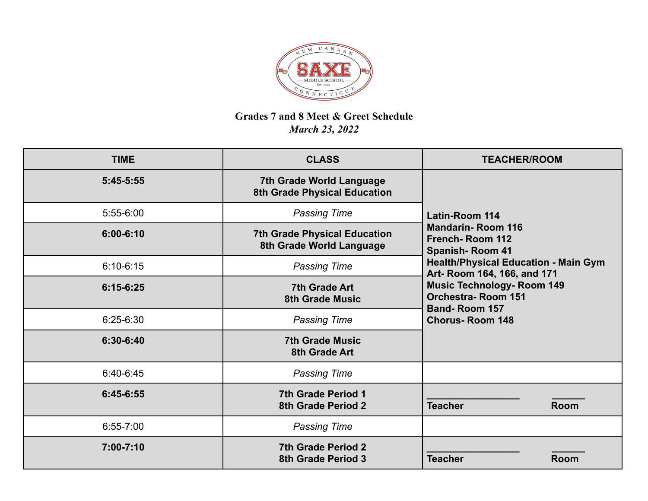

## **Grades 7 and 8 Meet & Greet Schedule** *March 23, 2022*

| <b>TIME</b>   | <b>CLASS</b>                                                    | <b>TEACHER/ROOM</b>                                                                                                                                                                                                                                  |
|---------------|-----------------------------------------------------------------|------------------------------------------------------------------------------------------------------------------------------------------------------------------------------------------------------------------------------------------------------|
| $5:45-5:55$   | <b>7th Grade World Language</b><br>8th Grade Physical Education |                                                                                                                                                                                                                                                      |
| 5:55-6:00     | <b>Passing Time</b>                                             | <b>Latin-Room 114</b>                                                                                                                                                                                                                                |
| $6:00 - 6:10$ | <b>7th Grade Physical Education</b><br>8th Grade World Language | <b>Mandarin-Room 116</b><br><b>French-Room 112</b><br><b>Spanish-Room 41</b><br><b>Health/Physical Education - Main Gym</b><br>Art- Room 164, 166, and 171<br><b>Music Technology- Room 149</b><br><b>Orchestra-Room 151</b><br><b>Band-Room 157</b> |
| $6:10-6:15$   | <b>Passing Time</b>                                             |                                                                                                                                                                                                                                                      |
| $6:15-6:25$   | <b>7th Grade Art</b><br><b>8th Grade Music</b>                  |                                                                                                                                                                                                                                                      |
| $6:25-6:30$   | <b>Passing Time</b>                                             | <b>Chorus-Room 148</b>                                                                                                                                                                                                                               |
| 6:30-6:40     | <b>7th Grade Music</b><br>8th Grade Art                         |                                                                                                                                                                                                                                                      |
| 6:40-6:45     | <b>Passing Time</b>                                             |                                                                                                                                                                                                                                                      |
| 6:45-6:55     | <b>7th Grade Period 1</b><br><b>8th Grade Period 2</b>          | <b>Teacher</b><br><b>Room</b>                                                                                                                                                                                                                        |
| $6:55 - 7:00$ | <b>Passing Time</b>                                             |                                                                                                                                                                                                                                                      |
| 7:00-7:10     | <b>7th Grade Period 2</b><br><b>8th Grade Period 3</b>          | <b>Teacher</b><br><b>Room</b>                                                                                                                                                                                                                        |